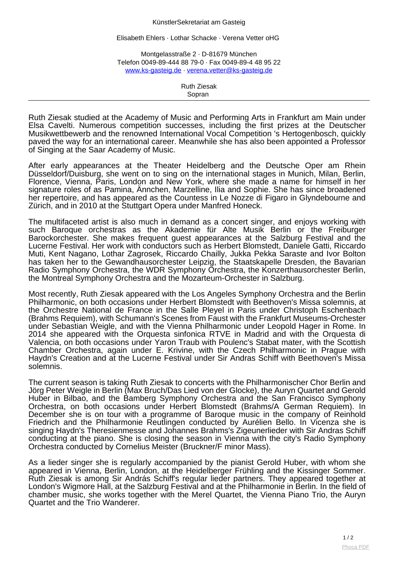## KünstlerSekretariat am Gasteig

Elisabeth Ehlers · Lothar Schacke · Verena Vetter oHG

Montgelasstraße 2 · D-81679 München Telefon 0049-89-444 88 79-0 · Fax 0049-89-4 48 95 22 [www.ks-gasteig.de](http://www.ks-gasteig.de) · [verena.vetter@ks-gasteig.de](mailto:verena.vetter@ksg.de)

> Ruth Ziesak Sopran

Ruth Ziesak studied at the Academy of Music and Performing Arts in Frankfurt am Main under Elsa Cavelti. Numerous competition successes, including the first prizes at the Deutscher Musikwettbewerb and the renowned International Vocal Competition 's Hertogenbosch, quickly paved the way for an international career. Meanwhile she has also been appointed a Professor of Singing at the Saar Academy of Music.

After early appearances at the Theater Heidelberg and the Deutsche Oper am Rhein Düsseldorf/Duisburg, she went on to sing on the international stages in Munich, Milan, Berlin, Florence, Vienna, Paris, London and New York, where she made a name for himself in her signature roles of as Pamina, Ännchen, Marzelline, Ilia and Sophie. She has since broadened her repertoire, and has appeared as the Countess in Le Nozze di Figaro in Glyndebourne and Zürich, and in 2010 at the Stuttgart Opera under Manfred Honeck.

The multifaceted artist is also much in demand as a concert singer, and enjoys working with such Baroque orchestras as the Akademie für Alte Musik Berlin or the Freiburger Barockorchester. She makes frequent guest appearances at the Salzburg Festival and the Lucerne Festival. Her work with conductors such as Herbert Blomstedt, Daniele Gatti, Riccardo Muti, Kent Nagano, Lothar Zagrosek, Riccardo Chailly, Jukka Pekka Saraste and Ivor Bolton has taken her to the Gewandhausorchester Leipzig, the Staatskapelle Dresden, the Bavarian Radio Symphony Orchestra, the WDR Symphony Orchestra, the Konzerthausorchester Berlin, the Montreal Symphony Orchestra and the Mozarteum-Orchester in Salzburg.

Most recently, Ruth Ziesak appeared with the Los Angeles Symphony Orchestra and the Berlin Philharmonic, on both occasions under Herbert Blomstedt with Beethoven's Missa solemnis, at the Orchestre National de France in the Salle Pleyel in Paris under Christoph Eschenbach (Brahms Requiem), with Schumann's Scenes from Faust with the Frankfurt Museums-Orchester under Sebastian Weigle, and with the Vienna Philharmonic under Leopold Hager in Rome. In 2014 she appeared with the Orquesta sinfonica RTVE in Madrid and with the Orquesta di Valencia, on both occasions under Yaron Traub with Poulenc's Stabat mater, with the Scottish Chamber Orchestra, again under E. Krivine, with the Czech Philharmonic in Prague with Haydn's Creation and at the Lucerne Festival under Sir Andras Schiff with Beethoven's Missa solemnis.

The current season is taking Ruth Ziesak to concerts with the Philharmonischer Chor Berlin and Jörg Peter Weigle in Berlin (Max Bruch/Das Lied von der Glocke), the Auryn Quartet and Gerold Huber in Bilbao, and the Bamberg Symphony Orchestra and the San Francisco Symphony Orchestra, on both occasions under Herbert Blomstedt (Brahms/A German Requiem). In December she is on tour with a programme of Baroque music in the company of Reinhold Friedrich and the Philharmonie Reutlingen conducted by Aurélien Bello. In Vicenza she is singing Haydn's Theresienmesse and Johannes Brahms's Zigeunerlieder with Sir Andras Schiff conducting at the piano. She is closing the season in Vienna with the city's Radio Symphony Orchestra conducted by Cornelius Meister (Bruckner/F minor Mass).

As a lieder singer she is regularly accompanied by the pianist Gerold Huber, with whom she appeared in Vienna, Berlin, London, at the Heidelberger Frühling and the Kissinger Sommer. Ruth Ziesak is among Sir András Schiff's regular lieder partners. They appeared together at London's Wigmore Hall, at the Salzburg Festival and at the Philharmonie in Berlin. In the field of chamber music, she works together with the Merel Quartet, the Vienna Piano Trio, the Auryn Quartet and the Trio Wanderer.